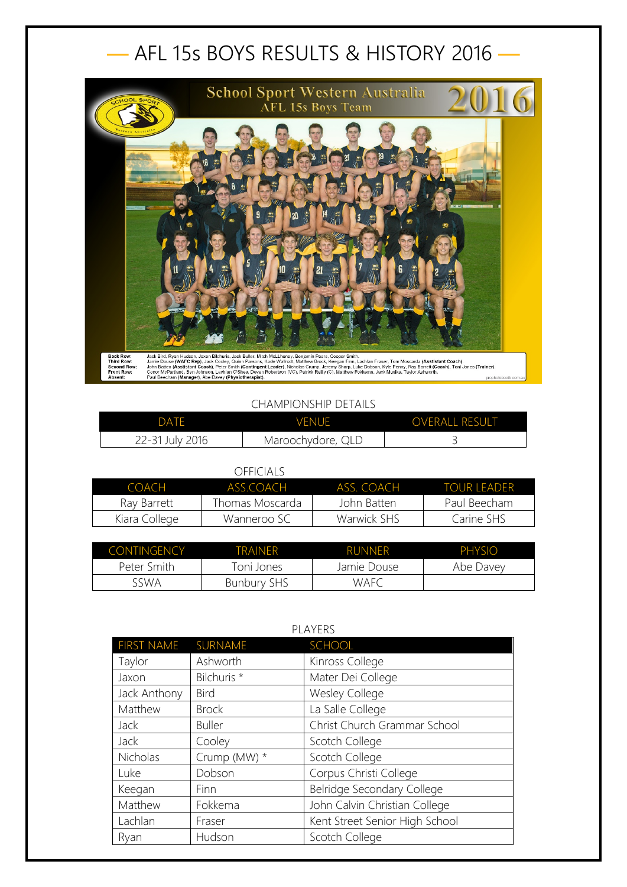## — AFL 15s BOYS RESULTS & HISTORY 2016 —



## CHAMPIONSHIP DETAILS

| DATF            | <b>VENUE</b>      | <b>OVERALL RESULT</b> |
|-----------------|-------------------|-----------------------|
| 22-31 July 2016 | Maroochydore, QLD |                       |

## OFFICIALS

| COACH         | ASS COACH        | ASS COACH   | <b>TOUR LEADER</b> |
|---------------|------------------|-------------|--------------------|
| Rav Barrett   | Thomas Moscarda. | John Batten | Paul Beecham       |
| Kiara College | Wanneroo SC      | Warwick SHS | Carine SHS         |

| <b>CONTINGENCY</b> | TRAINFR            | <b>RUNNER</b> | PHYSIO    |
|--------------------|--------------------|---------------|-----------|
| Peter Smith        | Toni Jones         | Jamie Douse   | Abe Davey |
| sswa               | <b>Bunbury SHS</b> | <b>WAFC</b>   |           |

| PLAYERS            |               |                                |
|--------------------|---------------|--------------------------------|
| FIRST NAME SURNAME |               | SCHOOL                         |
| Taylor             | Ashworth      | Kinross College                |
| Jaxon              | Bilchuris *   | Mater Dei College              |
| Jack Anthony       | <b>Bird</b>   | Wesley College                 |
| Matthew            | <b>Brock</b>  | La Salle College               |
| <b>Jack</b>        | <b>Buller</b> | Christ Church Grammar School   |
| Jack               | Cooley        | Scotch College                 |
| Nicholas           | Crump (MW) *  | Scotch College                 |
| Luke               | Dobson        | Corpus Christi College         |
| Keegan             | Finn          | Belridge Secondary College     |
| Matthew            | Fokkema       | John Calvin Christian College  |
| Lachlan            | Fraser        | Kent Street Senior High School |
| Ryan               | Hudson        | Scotch College                 |